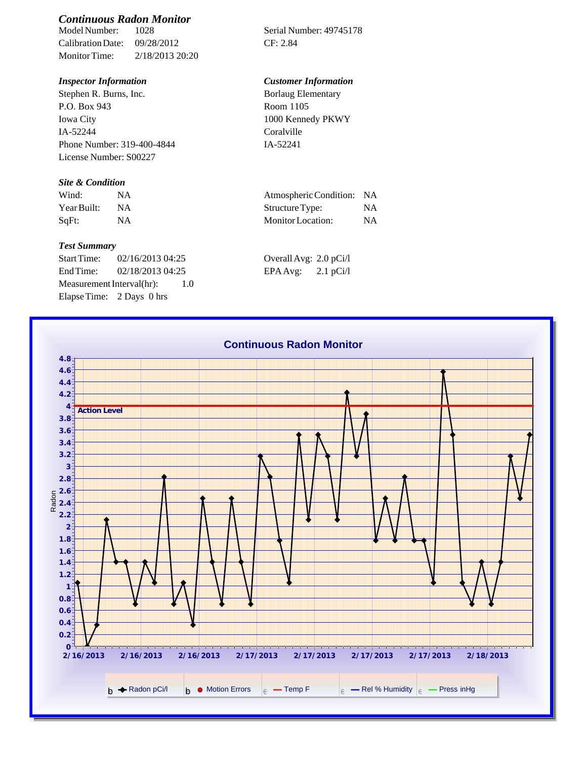# *Continuous Radon Monitor*

Calibration Date: 09/28/2012 CF: 2.84 Monitor Time: 2/18/2013 20:20

Stephen R. Burns, Inc. P.O. Box 943 Iowa City IA-52244 Phone Number: 319-400-4844 License Number: S00227

## *Site & Condition*

| Wind:       |           | Atmospheric Condition: NA |           |
|-------------|-----------|---------------------------|-----------|
| Year Built: | <b>NA</b> | Structure Type:           | NΑ        |
| SaFt:       |           | Monitor Location:         | <b>NA</b> |

### *Test Summary*

Start Time: 02/16/2013 04:25 End Time:  $02/18/2013$  04:25 Measurement Interval(hr): 1.0 Elapse Time: 2 Days 0 hrs

Serial Number: 49745178

# *Inspector Information Customer Information*

| Borlaug Elementary |  |
|--------------------|--|
| Room 1105          |  |
| 1000 Kennedy PKWY  |  |
| Coralville         |  |
| IA-52241           |  |

| Atmospheric Condition: NA |    |
|---------------------------|----|
| Structure Type:           | NA |
| Monitor Location:         | NA |

| Overall Avg: 2.0 pCi/l |             |
|------------------------|-------------|
| EPA Avg:               | $2.1$ pCi/l |

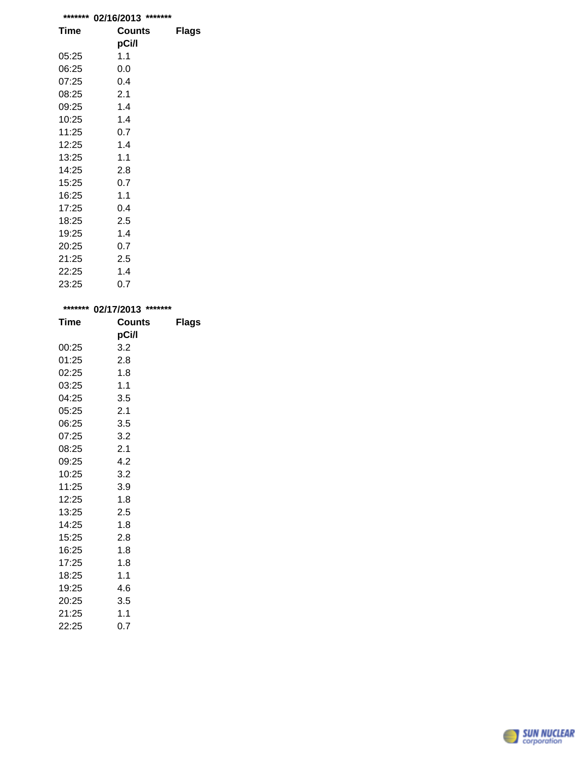| *******     | *******<br>02/16/2013 |              |
|-------------|-----------------------|--------------|
| <b>Time</b> | Counts                | <b>Flags</b> |
|             | pCi/l                 |              |
| 05:25       | 1.1                   |              |
| 06:25       | 0.0                   |              |
| 07:25       | 0.4                   |              |
| 08:25       | 2.1                   |              |
| 09:25       | 1.4                   |              |
| 10:25       | 1.4                   |              |
| 11:25       | 0.7                   |              |
| 12:25       | 1.4                   |              |
| 13:25       | 1.1                   |              |
| 14:25       | 2.8                   |              |
| 15:25       | 0.7                   |              |
| 16:25       | 1.1                   |              |
| 17:25       | 0.4                   |              |
| 18:25       | 2.5                   |              |
| 19:25       | 1.4                   |              |
| 20:25       | 0.7                   |              |
| 21:25       | 2.5                   |              |
| 22:25       | 1.4                   |              |
| 23:25       | 0.7                   |              |

| *******     | 02/17/2013 ******* |              |  |
|-------------|--------------------|--------------|--|
| <b>Time</b> | <b>Counts</b>      | <b>Flags</b> |  |
|             | pCi/l              |              |  |
| 00:25       | 3.2                |              |  |
| 01:25       | 2.8                |              |  |
| 02:25       | 1.8                |              |  |
| 03:25       | 1.1                |              |  |
| 04:25       | 3.5                |              |  |
| 05:25       | 2.1                |              |  |
| 06:25       | 3.5                |              |  |
| 07:25       | 3.2                |              |  |
| 08:25       | 2.1                |              |  |
| 09:25       | 4.2                |              |  |
| 10:25       | 3.2                |              |  |
| 11:25       | 3.9                |              |  |
| 12:25       | 1.8                |              |  |
| 13:25       | 2.5                |              |  |
| 14:25       | 1.8                |              |  |
| 15:25       | 2.8                |              |  |
| 16:25       | 1.8                |              |  |
| 17:25       | 1.8                |              |  |
| 18:25       | 1.1                |              |  |
| 19:25       | 4.6                |              |  |
| 20:25       | 3.5                |              |  |
| 21:25       | 1.1                |              |  |
| 22:25       | 0.7                |              |  |